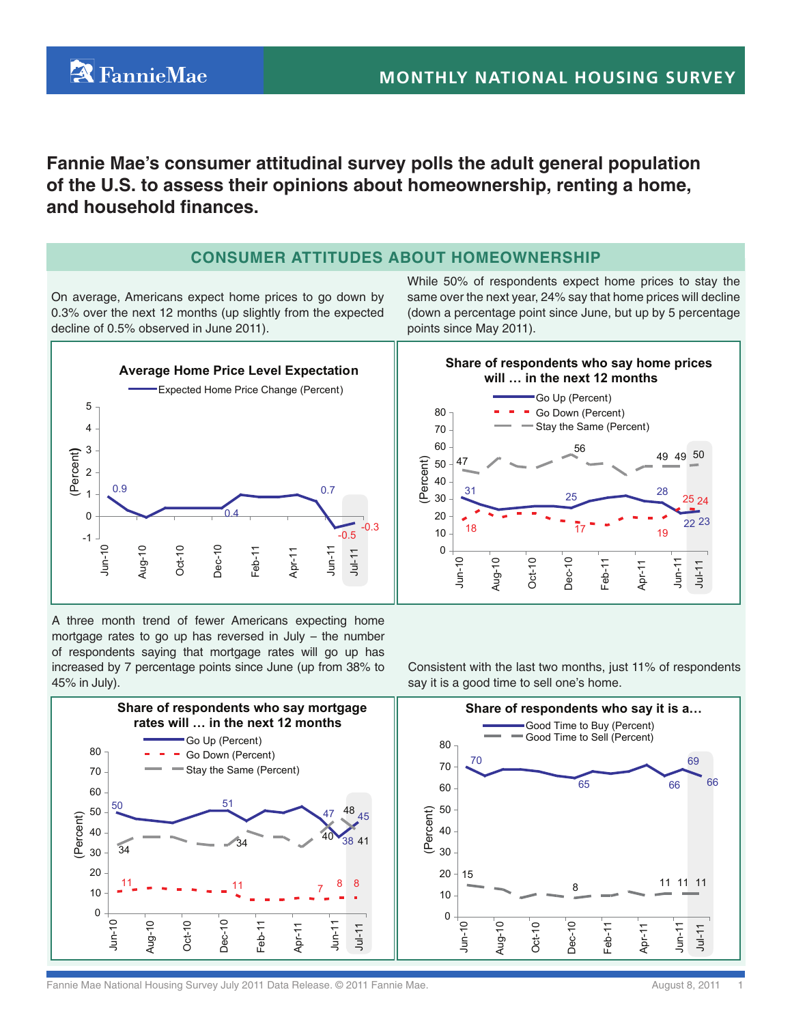**Fannie Mae's consumer attitudinal survey polls the adult general population**

**of the U.S. to assess their opinions about homeownership, renting a home, and household finances.**

# **Consumer Attitudes About HomeOwnership**

On average, Americans expect home prices to go down by 0.3% over the next 12 months (up slightly from the expected decline of 0.5% observed in June 2011).

**A** FannieMae

While 50% of respondents expect home prices to stay the same over the next year, 24% say that home prices will decline (down a percentage point since June, but up by 5 percentage points since May 2011).



A three month trend of fewer Americans expecting home mortgage rates to go up has reversed in July – the number of respondents saying that mortgage rates will go up has increased by 7 percentage points since June (up from 38% to 45% in July).



Consistent with the last two months, just 11% of respondents say it is a good time to sell one's home.



Fannie Mae National Housing Survey July 2011 Data Release. © 2011 Fannie Mae. August 8, 2011 Fannie Mae and The Mugust 8, 2011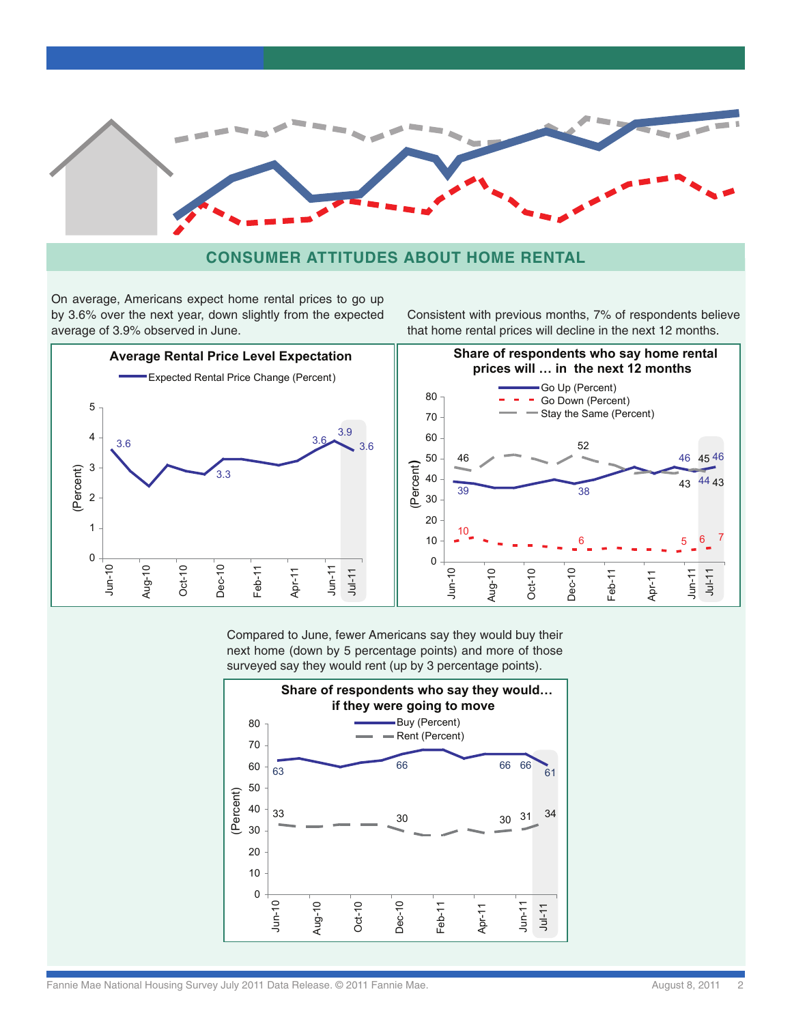

# **Consumer Attitudes About Home rental**

On average, Americans expect home rental prices to go up by 3.6% over the next year, down slightly from the expected average of 3.9% observed in June.

Consistent with previous months, 7% of respondents believe that home rental prices will decline in the next 12 months.



Compared to June, fewer Americans say they would buy their next home (down by 5 percentage points) and more of those surveyed say they would rent (up by 3 percentage points).

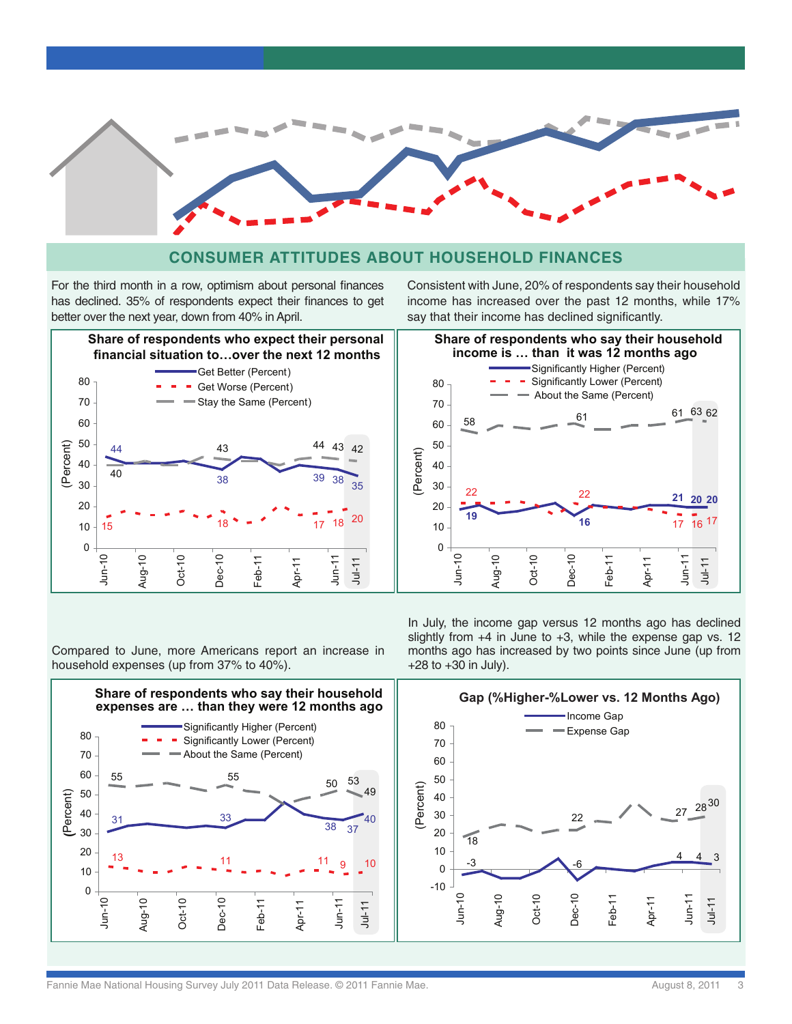

### **Consumer Attitudes About Household finances**

For the third month in a row, optimism about personal finances has declined. 35% of respondents expect their finances to get better over the next year, down from 40% in April.



Consistent with June, 20% of respondents say their household income has increased over the past 12 months, while 17% say that their income has declined significantly.



In July, the income gap versus 12 months ago has declined slightly from  $+4$  in June to  $+3$ , while the expense gap vs. 12 months ago has increased by two points since June (up from +28 to +30 in July).



Compared to June, more Americans report an increase in household expenses (up from 37% to 40%).

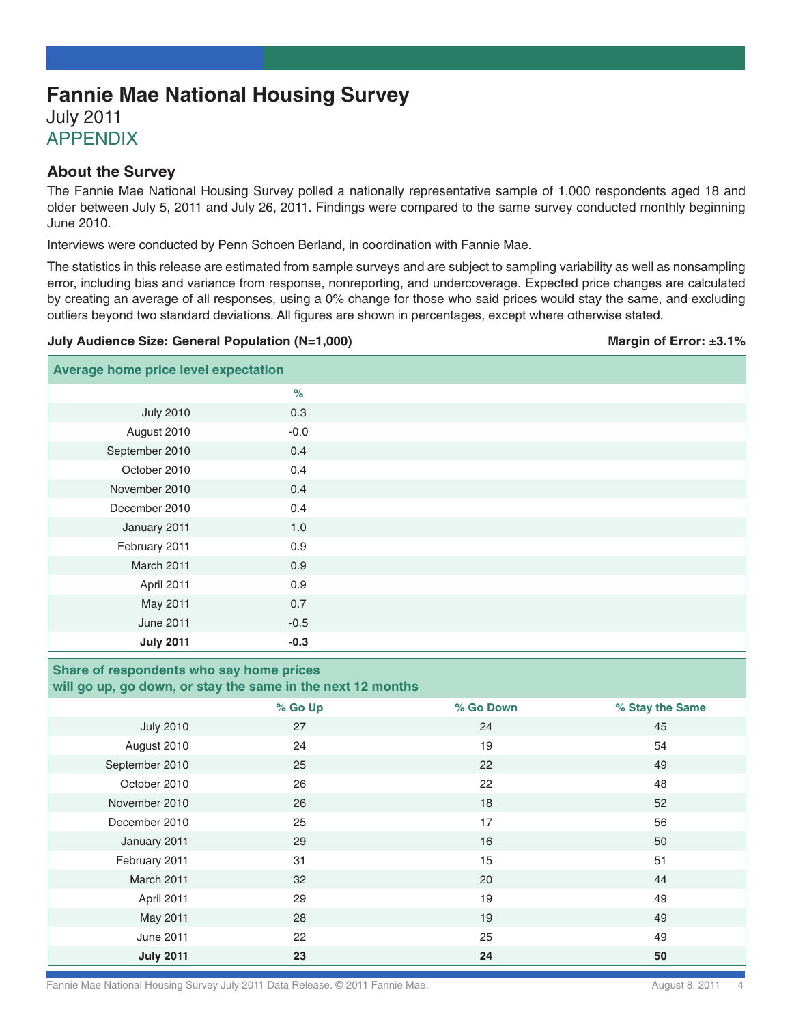# **Fannie Mae National Housing Survey** July 2011 **APPENDIX**

### **About the Survey**

The Fannie Mae National Housing Survey polled a nationally representative sample of 1,000 respondents aged 18 and older between July 5, 2011 and July 26, 2011. Findings were compared to the same survey conducted monthly beginning June 2010.

Interviews were conducted by Penn Schoen Berland, in coordination with Fannie Mae.

The statistics in this release are estimated from sample surveys and are subject to sampling variability as well as nonsampling error, including bias and variance from response, nonreporting, and undercoverage. Expected price changes are calculated by creating an average of all responses, using a 0% change for those who said prices would stay the same, and excluding outliers beyond two standard deviations. All figures are shown in percentages, except where otherwise stated.

#### **July Audience Size: General Population (N=1,000) Margin of Error: ±3.1%** Margin of Error: ±3.1%

| <b>Average home price level expectation</b> |        |  |
|---------------------------------------------|--------|--|
|                                             | $\%$   |  |
| <b>July 2010</b>                            | 0.3    |  |
| August 2010                                 | $-0.0$ |  |
| September 2010                              | 0.4    |  |
| October 2010                                | 0.4    |  |
| November 2010                               | 0.4    |  |
| December 2010                               | 0.4    |  |
| January 2011                                | 1.0    |  |
| February 2011                               | 0.9    |  |
| March 2011                                  | 0.9    |  |
| April 2011                                  | 0.9    |  |
| May 2011                                    | 0.7    |  |
| <b>June 2011</b>                            | $-0.5$ |  |
| <b>July 2011</b>                            | $-0.3$ |  |

#### **Share of respondents who say home prices will go up, go down, or stay the same in the next 12 months**

|                  | % Go Up | % Go Down | % Stay the Same |
|------------------|---------|-----------|-----------------|
| <b>July 2010</b> | 27      | 24        | 45              |
| August 2010      | 24      | 19        | 54              |
| September 2010   | 25      | 22        | 49              |
| October 2010     | 26      | 22        | 48              |
| November 2010    | 26      | 18        | 52              |
| December 2010    | 25      | 17        | 56              |
| January 2011     | 29      | 16        | 50              |
| February 2011    | 31      | 15        | 51              |
| March 2011       | 32      | 20        | 44              |
| April 2011       | 29      | 19        | 49              |
| May 2011         | 28      | 19        | 49              |
| <b>June 2011</b> | 22      | 25        | 49              |
| <b>July 2011</b> | 23      | 24        | 50              |

Fannie Mae National Housing Survey July 2011 Data Release. © 2011 Fannie Mae. <br>
August 8, 2011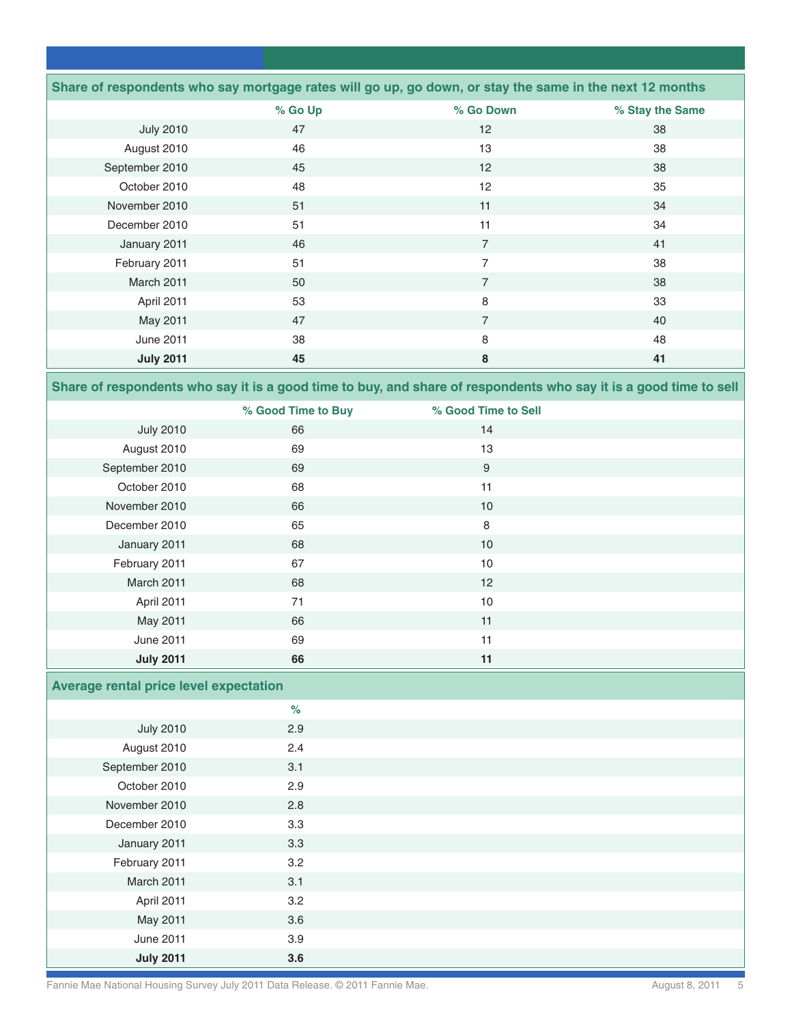|                  |         | Share of respondents who say mortgage rates will go up, go down, or stay the same in the next 12 months |                 |
|------------------|---------|---------------------------------------------------------------------------------------------------------|-----------------|
|                  | % Go Up | % Go Down                                                                                               | % Stay the Same |
| <b>July 2010</b> | 47      | $12 \overline{ }$                                                                                       | 38              |
| August 2010      | 46      | 13                                                                                                      | 38              |
| September 2010   | 45      | 12                                                                                                      | 38              |
| October 2010     | 48      | 12                                                                                                      | 35              |
| November 2010    | 51      | 11                                                                                                      | 34              |
| December 2010    | 51      | 11                                                                                                      | 34              |
| January 2011     | 46      | $\overline{7}$                                                                                          | 41              |
| February 2011    | 51      | $\overline{7}$                                                                                          | 38              |
| March 2011       | 50      | $\overline{7}$                                                                                          | 38              |
| April 2011       | 53      | 8                                                                                                       | 33              |
| May 2011         | 47      | $\overline{7}$                                                                                          | 40              |
| June 2011        | 38      | 8                                                                                                       | 48              |
| <b>July 2011</b> | 45      | 8                                                                                                       | 41              |

**Share of respondents who say it is a good time to buy, and share of respondents who say it is a good time to sell**

|                  | % Good Time to Buy | % Good Time to Sell |  |
|------------------|--------------------|---------------------|--|
| <b>July 2010</b> | 66                 | 14                  |  |
| August 2010      | 69                 | 13                  |  |
| September 2010   | 69                 | 9                   |  |
| October 2010     | 68                 | 11                  |  |
| November 2010    | 66                 | 10                  |  |
| December 2010    | 65                 | 8                   |  |
| January 2011     | 68                 | 10                  |  |
| February 2011    | 67                 | 10                  |  |
| March 2011       | 68                 | 12                  |  |
| April 2011       | 71                 | 10                  |  |
| May 2011         | 66                 | 11                  |  |
| <b>June 2011</b> | 69                 | 11                  |  |
| <b>July 2011</b> | 66                 | 11                  |  |

# **Average rental price level expectation**

|                  | $\%$ |  |
|------------------|------|--|
| <b>July 2010</b> | 2.9  |  |
| August 2010      | 2.4  |  |
| September 2010   | 3.1  |  |
| October 2010     | 2.9  |  |
| November 2010    | 2.8  |  |
| December 2010    | 3.3  |  |
| January 2011     | 3.3  |  |
| February 2011    | 3.2  |  |
| March 2011       | 3.1  |  |
| April 2011       | 3.2  |  |
| May 2011         | 3.6  |  |
| <b>June 2011</b> | 3.9  |  |
| <b>July 2011</b> | 3.6  |  |

Fannie Mae National Housing Survey July 2011 Data Release. © 2011 Fannie Mae. August 8, 2011 5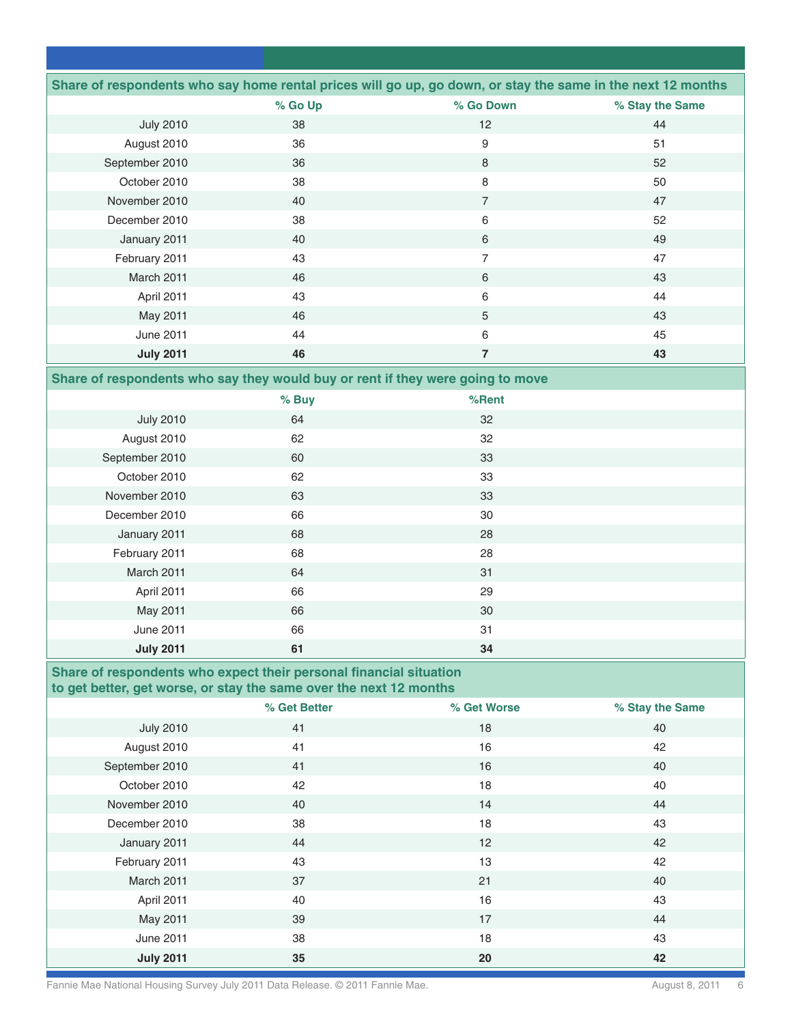|                  |         | Share of respondents who say home rental prices will go up, go down, or stay the same in the next 12 months |                 |
|------------------|---------|-------------------------------------------------------------------------------------------------------------|-----------------|
|                  | % Go Up | % Go Down                                                                                                   | % Stay the Same |
| <b>July 2010</b> | 38      | 12                                                                                                          | 44              |
| August 2010      | 36      | 9                                                                                                           | 51              |
| September 2010   | 36      | 8                                                                                                           | 52              |
| October 2010     | 38      | 8                                                                                                           | 50              |
| November 2010    | 40      | 7                                                                                                           | 47              |
| December 2010    | 38      | 6                                                                                                           | 52              |
| January 2011     | 40      | 6                                                                                                           | 49              |
| February 2011    | 43      | 7                                                                                                           | 47              |
| March 2011       | 46      | 6                                                                                                           | 43              |
| April 2011       | 43      | 6                                                                                                           | 44              |
| May 2011         | 46      | 5                                                                                                           | 43              |
| June 2011        | 44      | 6                                                                                                           | 45              |
| <b>July 2011</b> | 46      | 7                                                                                                           | 43              |

### **Share of respondents who say they would buy or rent if they were going to move**

|                  | % Buy | %Rent |  |
|------------------|-------|-------|--|
| <b>July 2010</b> | 64    | 32    |  |
| August 2010      | 62    | 32    |  |
| September 2010   | 60    | 33    |  |
| October 2010     | 62    | 33    |  |
| November 2010    | 63    | 33    |  |
| December 2010    | 66    | 30    |  |
| January 2011     | 68    | 28    |  |
| February 2011    | 68    | 28    |  |
| March 2011       | 64    | 31    |  |
| April 2011       | 66    | 29    |  |
| May 2011         | 66    | 30    |  |
| <b>June 2011</b> | 66    | 31    |  |
| <b>July 2011</b> | 61    | 34    |  |

# **Share of respondents who expect their personal financial situation to get better, get worse, or stay the same over the next 12 months**

|                  | % Get Better | % Get Worse | % Stay the Same |
|------------------|--------------|-------------|-----------------|
| <b>July 2010</b> | 41           | 18          | 40              |
| August 2010      | 41           | 16          | 42              |
| September 2010   | 41           | 16          | 40              |
| October 2010     | 42           | 18          | 40              |
| November 2010    | 40           | 14          | 44              |
| December 2010    | 38           | 18          | 43              |
| January 2011     | 44           | 12          | 42              |
| February 2011    | 43           | 13          | 42              |
| March 2011       | 37           | 21          | 40              |
| April 2011       | 40           | 16          | 43              |
| May 2011         | 39           | 17          | 44              |
| <b>June 2011</b> | 38           | 18          | 43              |
| <b>July 2011</b> | 35           | 20          | 42              |

Fannie Mae National Housing Survey July 2011 Data Release. © 2011 Fannie Mae. August 8, 2011 6